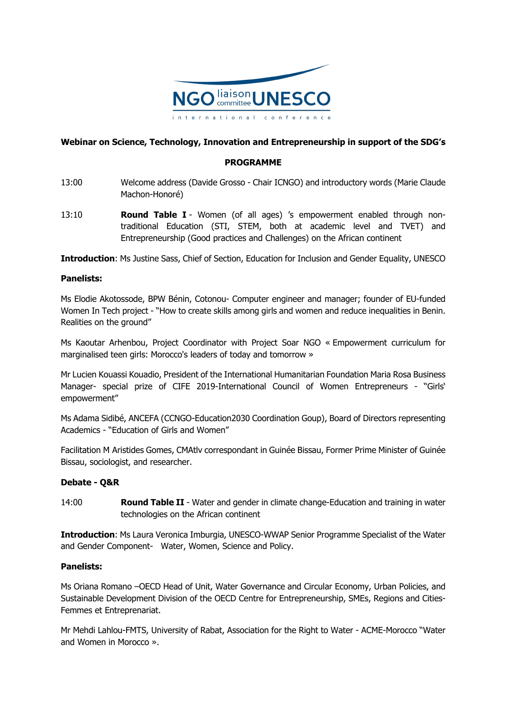

# **Webinar on Science, Technology, Innovation and Entrepreneurship in support of the SDG's**

## **PROGRAMME**

- 13:00 Welcome address (Davide Grosso Chair ICNGO) and introductory words (Marie Claude Machon-Honoré)
- 13:10 **Round Table I** Women (of all ages) 's empowerment enabled through nontraditional Education (STI, STEM, both at academic level and TVET) and Entrepreneurship (Good practices and Challenges) on the African continent

**Introduction**: Ms Justine Sass, Chief of Section, Education for Inclusion and Gender Equality, UNESCO

### **Panelists:**

Ms Elodie Akotossode, BPW Bénin, Cotonou- Computer engineer and manager; founder of EU-funded Women In Tech project - "How to create skills among girls and women and reduce inequalities in Benin. Realities on the ground"

Ms Kaoutar Arhenbou, Project Coordinator with Project Soar NGO « Empowerment curriculum for marginalised teen girls: Morocco's leaders of today and tomorrow »

Mr Lucien Kouassi Kouadio, President of the International Humanitarian Foundation Maria Rosa Business Manager- special prize of CIFE 2019-International Council of Women Entrepreneurs - "Girls' empowerment"

Ms Adama Sidibé, ANCEFA (CCNGO-Education2030 Coordination Goup), Board of Directors representing Academics - "Education of Girls and Women"

Facilitation M Aristides Gomes, CMAtlv correspondant in Guinée Bissau, Former Prime Minister of Guinée Bissau, sociologist, and researcher.

### **Debate - Q&R**

14:00 **Round Table II** - Water and gender in climate change-Education and training in water technologies on the African continent

**Introduction**: Ms Laura Veronica Imburgia, UNESCO-WWAP Senior Programme Specialist of the Water and Gender Component- Water, Women, Science and Policy.

### **Panelists:**

Ms Oriana Romano –OECD Head of Unit, Water Governance and Circular Economy, Urban Policies, and Sustainable Development Division of the OECD Centre for Entrepreneurship, SMEs, Regions and Cities-Femmes et Entreprenariat.

Mr Mehdi Lahlou-FMTS, University of Rabat, Association for the Right to Water - ACME-Morocco "Water and Women in Morocco ».